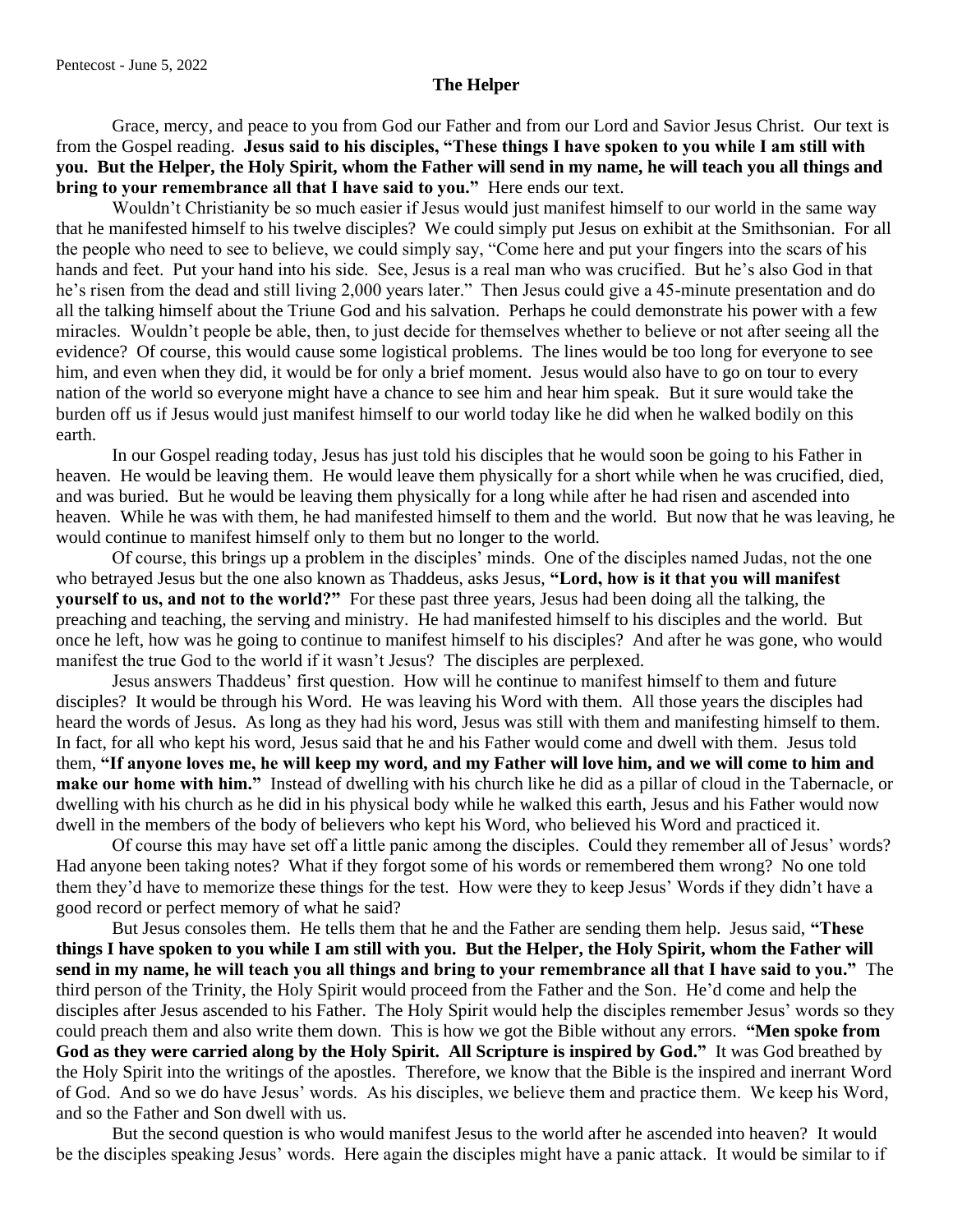## **The Helper**

Grace, mercy, and peace to you from God our Father and from our Lord and Savior Jesus Christ. Our text is from the Gospel reading. **Jesus said to his disciples, "These things I have spoken to you while I am still with you. But the Helper, the Holy Spirit, whom the Father will send in my name, he will teach you all things and bring to your remembrance all that I have said to you."** Here ends our text.

Wouldn't Christianity be so much easier if Jesus would just manifest himself to our world in the same way that he manifested himself to his twelve disciples? We could simply put Jesus on exhibit at the Smithsonian. For all the people who need to see to believe, we could simply say, "Come here and put your fingers into the scars of his hands and feet. Put your hand into his side. See, Jesus is a real man who was crucified. But he's also God in that he's risen from the dead and still living 2,000 years later." Then Jesus could give a 45-minute presentation and do all the talking himself about the Triune God and his salvation. Perhaps he could demonstrate his power with a few miracles. Wouldn't people be able, then, to just decide for themselves whether to believe or not after seeing all the evidence? Of course, this would cause some logistical problems. The lines would be too long for everyone to see him, and even when they did, it would be for only a brief moment. Jesus would also have to go on tour to every nation of the world so everyone might have a chance to see him and hear him speak. But it sure would take the burden off us if Jesus would just manifest himself to our world today like he did when he walked bodily on this earth.

In our Gospel reading today, Jesus has just told his disciples that he would soon be going to his Father in heaven. He would be leaving them. He would leave them physically for a short while when he was crucified, died, and was buried. But he would be leaving them physically for a long while after he had risen and ascended into heaven. While he was with them, he had manifested himself to them and the world. But now that he was leaving, he would continue to manifest himself only to them but no longer to the world.

Of course, this brings up a problem in the disciples' minds. One of the disciples named Judas, not the one who betrayed Jesus but the one also known as Thaddeus, asks Jesus, **"Lord, how is it that you will manifest yourself to us, and not to the world?"** For these past three years, Jesus had been doing all the talking, the preaching and teaching, the serving and ministry. He had manifested himself to his disciples and the world. But once he left, how was he going to continue to manifest himself to his disciples? And after he was gone, who would manifest the true God to the world if it wasn't Jesus? The disciples are perplexed.

Jesus answers Thaddeus' first question. How will he continue to manifest himself to them and future disciples? It would be through his Word. He was leaving his Word with them. All those years the disciples had heard the words of Jesus. As long as they had his word, Jesus was still with them and manifesting himself to them. In fact, for all who kept his word, Jesus said that he and his Father would come and dwell with them. Jesus told them, **"If anyone loves me, he will keep my word, and my Father will love him, and we will come to him and make our home with him."** Instead of dwelling with his church like he did as a pillar of cloud in the Tabernacle, or dwelling with his church as he did in his physical body while he walked this earth, Jesus and his Father would now dwell in the members of the body of believers who kept his Word, who believed his Word and practiced it.

Of course this may have set off a little panic among the disciples. Could they remember all of Jesus' words? Had anyone been taking notes? What if they forgot some of his words or remembered them wrong? No one told them they'd have to memorize these things for the test. How were they to keep Jesus' Words if they didn't have a good record or perfect memory of what he said?

But Jesus consoles them. He tells them that he and the Father are sending them help. Jesus said, **"These things I have spoken to you while I am still with you. But the Helper, the Holy Spirit, whom the Father will send in my name, he will teach you all things and bring to your remembrance all that I have said to you."** The third person of the Trinity, the Holy Spirit would proceed from the Father and the Son. He'd come and help the disciples after Jesus ascended to his Father. The Holy Spirit would help the disciples remember Jesus' words so they could preach them and also write them down. This is how we got the Bible without any errors. **"Men spoke from God as they were carried along by the Holy Spirit. All Scripture is inspired by God."** It was God breathed by the Holy Spirit into the writings of the apostles. Therefore, we know that the Bible is the inspired and inerrant Word of God. And so we do have Jesus' words. As his disciples, we believe them and practice them. We keep his Word, and so the Father and Son dwell with us.

But the second question is who would manifest Jesus to the world after he ascended into heaven? It would be the disciples speaking Jesus' words. Here again the disciples might have a panic attack. It would be similar to if